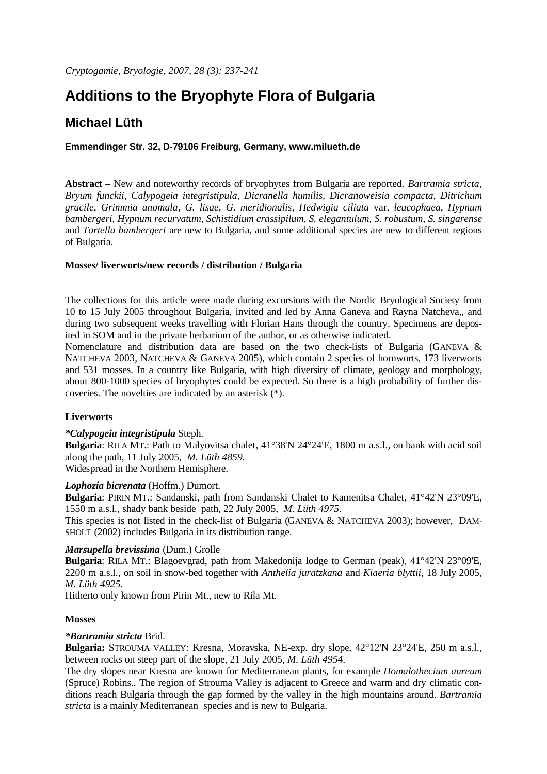# **Additions to the Bryophyte Flora of Bulgaria**

# **Michael Lüth**

## **Emmendinger Str. 32, D-79106 Freiburg, Germany, www.milueth.de**

**Abstract** – New and noteworthy records of bryophytes from Bulgaria are reported. *Bartramia stricta, Bryum funckii, Calypogeia integristipula, Dicranella humilis, Dicranoweisia compacta, Ditrichum gracile, Grimmia anomala, G. lisae, G. meridionalis, Hedwigia ciliata* var. *leucophaea, Hypnum bambergeri, Hypnum recurvatum, Schistidium crassipilum, S. elegantulum, S. robustum, S. singarense*  and *Tortella bambergeri* are new to Bulgaria, and some additional species are new to different regions of Bulgaria.

## **Mosses/ liverworts/new records / distribution / Bulgaria**

The collections for this article were made during excursions with the Nordic Bryological Society from 10 to 15 July 2005 throughout Bulgaria, invited and led by Anna Ganeva and Rayna Natcheva,, and during two subsequent weeks travelling with Florian Hans through the country. Specimens are deposited in SOM and in the private herbarium of the author, or as otherwise indicated.

Nomenclature and distribution data are based on the two check-lists of Bulgaria (GANEVA & NATCHEVA 2003, NATCHEVA & GANEVA 2005), which contain 2 species of hornworts, 173 liverworts and 531 mosses. In a country like Bulgaria, with high diversity of climate, geology and morphology, about 800-1000 species of bryophytes could be expected. So there is a high probability of further discoveries. The novelties are indicated by an asterisk (\*).

# **Liverworts**

#### *\*Calypogeia integristipula* Steph.

**Bulgaria**: RILA MT.: Path to Malyovitsa chalet, 41°38'N 24°24'E, 1800 m a.s.l., on bank with acid soil along the path, 11 July 2005, *M. Lüth 4859*. Widespread in the Northern Hemisphere.

# *Lophozia bicrenata* (Hoffm.) Dumort.

**Bulgaria**: PIRIN MT.: Sandanski, path from Sandanski Chalet to Kamenitsa Chalet, 41°42'N 23°09'E, 1550 m a.s.l., shady bank beside path, 22 July 2005, *M. Lüth 4975*.

This species is not listed in the check-list of Bulgaria (GANEVA & NATCHEVA 2003); however, DAM-SHOLT (2002) includes Bulgaria in its distribution range.

#### *Marsupella brevissima* (Dum.) Grolle

**Bulgaria**: RILA MT.: Blagoevgrad, path from Makedonija lodge to German (peak), 41°42'N 23°09'E, 2200 m a.s.l., on soil in snow-bed together with *Anthelia juratzkana* and *Kiaeria blyttii*, 18 July 2005, *M. Lüth 4925*.

Hitherto only known from Pirin Mt., new to Rila Mt.

#### **Mosses**

# *\*Bartramia stricta* Brid.

**Bulgaria:** STROUMA VALLEY: Kresna, Moravska, NE-exp. dry slope, 42°12'N 23°24'E, 250 m a.s.l., between rocks on steep part of the slope, 21 July 2005, *M. Lüth 4954*.

The dry slopes near Kresna are known for Mediterranean plants, for example *Homalothecium aureum* (Spruce) Robins.. The region of Strouma Valley is adjacent to Greece and warm and dry climatic conditions reach Bulgaria through the gap formed by the valley in the high mountains around. *Bartramia stricta* is a mainly Mediterranean species and is new to Bulgaria.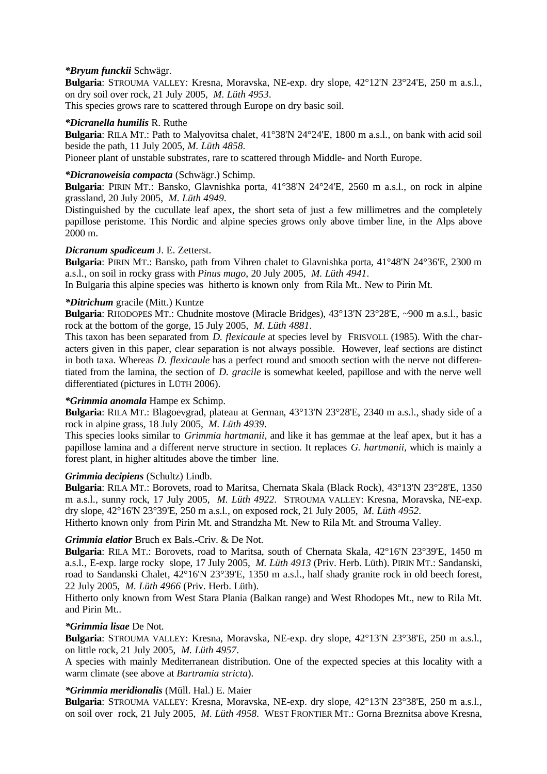#### *\*Bryum funckii* Schwägr.

**Bulgaria**: STROUMA VALLEY: Kresna, Moravska, NE-exp. dry slope, 42°12'N 23°24'E, 250 m a.s.l., on dry soil over rock, 21 July 2005, *M. Lüth 4953*.

This species grows rare to scattered through Europe on dry basic soil.

#### *\*Dicranella humilis* R. Ruthe

**Bulgaria**: RILA MT.: Path to Malyovitsa chalet, 41°38'N 24°24'E, 1800 m a.s.l., on bank with acid soil beside the path, 11 July 2005, *M. Lüth 4858*.

Pioneer plant of unstable substrates, rare to scattered through Middle- and North Europe.

#### *\*Dicranoweisia compacta* (Schwägr.) Schimp.

**Bulgaria**: PIRIN MT.: Bansko, Glavnishka porta, 41°38'N 24°24'E, 2560 m a.s.l., on rock in alpine grassland, 20 July 2005, *M. Lüth 4949*.

Distinguished by the cucullate leaf apex, the short seta of just a few millimetres and the completely papillose peristome. This Nordic and alpine species grows only above timber line, in the Alps above 2000 m.

#### *Dicranum spadiceum* J. E. Zetterst.

**Bulgaria**: PIRIN MT.: Bansko, path from Vihren chalet to Glavnishka porta, 41°48'N 24°36'E, 2300 m a.s.l., on soil in rocky grass with *Pinus mugo*, 20 July 2005, *M. Lüth 4941*.

In Bulgaria this alpine species was hitherto is known only from Rila Mt.. New to Pirin Mt.

#### *\*Ditrichum* gracile (Mitt.) Kuntze

**Bulgaria**: RHODOPES MT.: Chudnite mostove (Miracle Bridges), 43°13'N 23°28'E, ~900 m a.s.l., basic rock at the bottom of the gorge, 15 July 2005, *M. Lüth 4881*.

This taxon has been separated from *D. flexicaule* at species level by FRISVOLL (1985). With the characters given in this paper, clear separation is not always possible. However, leaf sections are distinct in both taxa. Whereas *D. flexicaule* has a perfect round and smooth section with the nerve not differentiated from the lamina, the section of *D. gracile* is somewhat keeled, papillose and with the nerve well differentiated (pictures in LÜTH 2006).

#### *\*Grimmia anomala* Hampe ex Schimp.

**Bulgaria**: RILA MT.: Blagoevgrad, plateau at German, 43°13'N 23°28'E, 2340 m a.s.l., shady side of a rock in alpine grass, 18 July 2005, *M. Lüth 4939*.

This species looks similar to *Grimmia hartmanii*, and like it has gemmae at the leaf apex, but it has a papillose lamina and a different nerve structure in section. It replaces *G. hartmanii*, which is mainly a forest plant, in higher altitudes above the timber line.

#### *Grimmia decipiens* (Schultz) Lindb.

**Bulgaria**: RILA MT.: Borovets, road to Maritsa, Chernata Skala (Black Rock), 43°13'N 23°28'E, 1350 m a.s.l., sunny rock, 17 July 2005, *M. Lüth 4922*. STROUMA VALLEY: Kresna, Moravska, NE-exp. dry slope, 42°16'N 23°39'E, 250 m a.s.l., on exposed rock, 21 July 2005, *M. Lüth 4952*. Hitherto known only from Pirin Mt. and Strandzha Mt. New to Rila Mt. and Strouma Valley.

#### *Grimmia elatior* Bruch ex Bals -Criv. & De Not.

**Bulgaria**: RILA MT.: Borovets, road to Maritsa, south of Chernata Skala, 42°16'N 23°39'E, 1450 m a.s.l., E-exp. large rocky slope, 17 July 2005, *M. Lüth 4913* (Priv. Herb. Lüth). PIRIN MT.: Sandanski, road to Sandanski Chalet, 42°16'N 23°39'E, 1350 m a.s.l., half shady granite rock in old beech forest, 22 July 2005, *M. Lüth 4966* (Priv. Herb. Lüth).

Hitherto only known from West Stara Plania (Balkan range) and West Rhodopes Mt., new to Rila Mt. and Pirin Mt..

#### *\*Grimmia lisae* De Not.

**Bulgaria**: STROUMA VALLEY: Kresna, Moravska, NE-exp. dry slope, 42°13'N 23°38'E, 250 m a.s.l., on little rock, 21 July 2005, *M. Lüth 4957*.

A species with mainly Mediterranean distribution. One of the expected species at this locality with a warm climate (see above at *Bartramia stricta*).

# *\*Grimmia meridionalis* (Müll. Hal.) E. Maier

**Bulgaria**: STROUMA VALLEY: Kresna, Moravska, NE-exp. dry slope, 42°13'N 23°38'E, 250 m a.s.l., on soil over rock, 21 July 2005, *M. Lüth 4958*. WEST FRONTIER MT.: Gorna Breznitsa above Kresna,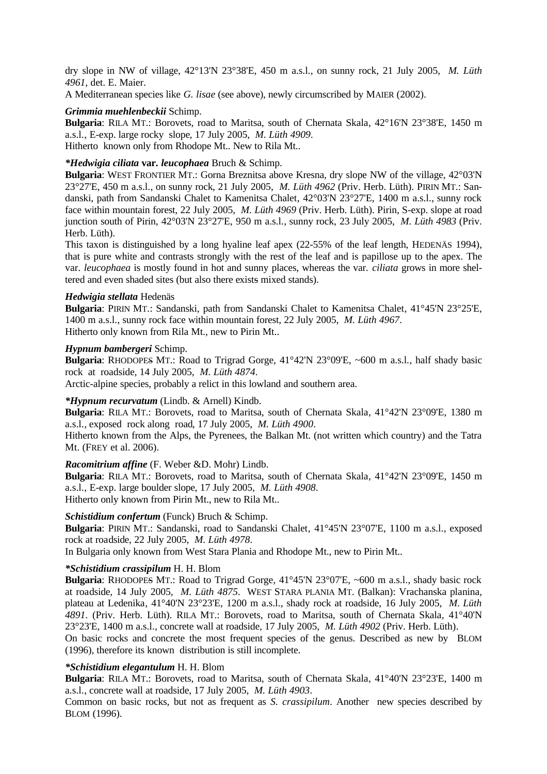dry slope in NW of village, 42°13'N 23°38'E, 450 m a.s.l., on sunny rock, 21 July 2005, *M. Lüth 4961*, det. E. Maier.

A Mediterranean species like *G. lisae* (see above), newly circumscribed by MAIER (2002).

#### *Grimmia muehlenbeckii* Schimp.

**Bulgaria**: RILA MT.: Borovets, road to Maritsa, south of Chernata Skala, 42°16'N 23°38'E, 1450 m a.s.l., E-exp. large rocky slope, 17 July 2005, *M. Lüth 4909*. Hitherto known only from Rhodope Mt.. New to Rila Mt..

#### *\*Hedwigia ciliata* **var***. leucophaea* Bruch & Schimp.

**Bulgaria**: WEST FRONTIER MT.: Gorna Breznitsa above Kresna, dry slope NW of the village, 42°03'N 23°27'E, 450 m a.s.l., on sunny rock, 21 July 2005, *M. Lüth 4962* (Priv. Herb. Lüth). PIRIN MT.: Sandanski, path from Sandanski Chalet to Kamenitsa Chalet, 42°03'N 23°27'E, 1400 m a.s.l., sunny rock face within mountain forest, 22 July 2005, *M. Lüth 4969* (Priv. Herb. Lüth). Pirin, S-exp. slope at road junction south of Pirin, 42°03'N 23°27'E, 950 m a.s.l., sunny rock, 23 July 2005, *M. Lüth 4983* (Priv. Herb. Lüth).

This taxon is distinguished by a long hyaline leaf apex (22-55% of the leaf length, HEDENÄS 1994), that is pure white and contrasts strongly with the rest of the leaf and is papillose up to the apex. The var. *leucophaea* is mostly found in hot and sunny places, whereas the var. *ciliata* grows in more sheltered and even shaded sites (but also there exists mixed stands).

#### *Hedwigia stellata* Hedenäs

**Bulgaria**: PIRIN MT.: Sandanski, path from Sandanski Chalet to Kamenitsa Chalet, 41°45'N 23°25'E, 1400 m a.s.l., sunny rock face within mountain forest, 22 July 2005, *M. Lüth 4967*. Hitherto only known from Rila Mt., new to Pirin Mt..

#### *Hypnum bambergeri* Schimp.

**Bulgaria**: RHODOPES MT.: Road to Trigrad Gorge,  $41^{\circ}42'N$  23°09'E, ~600 m a.s.l., half shady basic rock at roadside, 14 July 2005, *M. Lüth 4874*.

Arctic-alpine species, probably a relict in this lowland and southern area.

#### *\*Hypnum recurvatum* (Lindb. & Arnell) Kindb.

**Bulgaria**: RILA MT.: Borovets, road to Maritsa, south of Chernata Skala, 41°42'N 23°09'E, 1380 m a.s.l., exposed rock along road, 17 July 2005, *M. Lüth 4900*.

Hitherto known from the Alps, the Pyrenees, the Balkan Mt. (not written which country) and the Tatra Mt. (FREY et al. 2006).

#### *Racomitrium affine* (F. Weber &D. Mohr) Lindb.

**Bulgaria**: RILA MT.: Borovets, road to Maritsa, south of Chernata Skala, 41°42'N 23°09'E, 1450 m a.s.l., E-exp. large boulder slope, 17 July 2005, *M. Lüth 4908*. Hitherto only known from Pirin Mt., new to Rila Mt..

#### *Schistidium confertum* (Funck) Bruch & Schimp.

**Bulgaria**: PIRIN MT.: Sandanski, road to Sandanski Chalet, 41°45'N 23°07'E, 1100 m a.s.l., exposed rock at roadside, 22 July 2005, *M. Lüth 4978*.

In Bulgaria only known from West Stara Plania and Rhodope Mt., new to Pirin Mt..

#### *\*Schistidium crassipilum* H. H. Blom

**Bulgaria**: RHODOPES MT.: Road to Trigrad Gorge, 41°45'N 23°07'E, ~600 m a.s.l., shady basic rock at roadside, 14 July 2005, *M. Lüth 4875*. WEST STARA PLANIA MT. (Balkan): Vrachanska planina, plateau at Ledenika, 41°40'N 23°23'E, 1200 m a.s.l., shady rock at roadside, 16 July 2005, *M. Lüth 4891*. (Priv. Herb. Lüth). RILA MT.: Borovets, road to Maritsa, south of Chernata Skala, 41°40'N 23°23'E, 1400 m a.s.l., concrete wall at roadside, 17 July 2005, *M. Lüth 4902* (Priv. Herb. Lüth).

On basic rocks and concrete the most frequent species of the genus. Described as new by BLOM (1996), therefore its known distribution is still incomplete.

#### *\*Schistidium elegantulum* H. H. Blom

**Bulgaria**: RILA MT.: Borovets, road to Maritsa, south of Chernata Skala, 41°40'N 23°23'E, 1400 m a.s.l., concrete wall at roadside, 17 July 2005, *M. Lüth 4903*.

Common on basic rocks, but not as frequent as *S. crassipilum*. Another new species described by BLOM (1996).